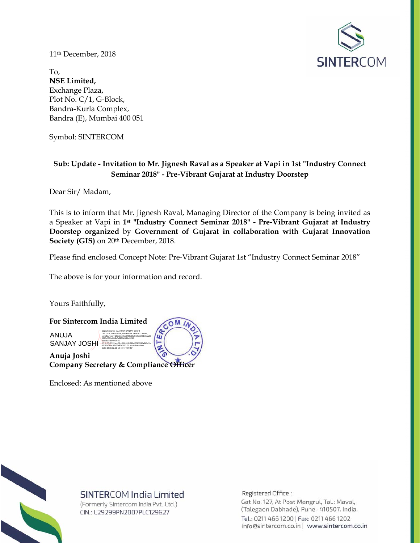11th December, 2018



To, **NSE Limited,**  Exchange Plaza, Plot No. C/1, G-Block, Bandra-Kurla Complex, Bandra (E), Mumbai 400 051

Symbol: SINTERCOM

## **Sub: Update - Invitation to Mr. Jignesh Raval as a Speaker at Vapi in 1st "Industry Connect Seminar 2018" - Pre-Vibrant Gujarat at Industry Doorstep**

Dear Sir/ Madam,

This is to inform that Mr. Jignesh Raval, Managing Director of the Company is being invited as a Speaker at Vapi in **1st "Industry Connect Seminar 2018" - Pre-Vibrant Gujarat at Industry Doorstep organized** by **Government of Gujarat in collaboration with Gujarat Innovation Society (GIS)** on 20th December, 2018.

Please find enclosed Concept Note: Pre-Vibrant Gujarat 1st "Industry Connect Seminar 2018"

The above is for your information and record.

Yours Faithfully,



Enclosed: As mentioned above



## SINTERCOM India Limited

(Formerly Sintercom India Pvt. Ltd.) CIN.: L29299PN2007PLC129627

Registered Office:

Gat No. 127, At Post Mangrul, Tal.: Maval, (Talegaon Dabhade), Pune- 410507. India. Tel.: 0211 466 1200 | Fax: 0211 466 1202 info@sintercom.co.in | www.sintercom.co.in